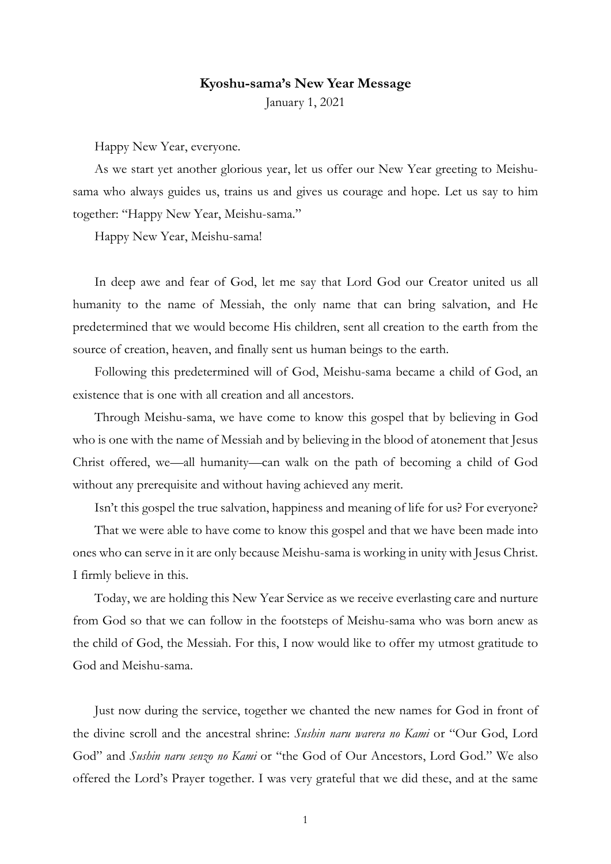## Kyoshu-sama's New Year Message

January 1, 2021

Happy New Year, everyone.

As we start yet another glorious year, let us offer our New Year greeting to Meishusama who always guides us, trains us and gives us courage and hope. Let us say to him together: "Happy New Year, Meishu-sama."

Happy New Year, Meishu-sama!

In deep awe and fear of God, let me say that Lord God our Creator united us all humanity to the name of Messiah, the only name that can bring salvation, and He predetermined that we would become His children, sent all creation to the earth from the source of creation, heaven, and finally sent us human beings to the earth.

Following this predetermined will of God, Meishu-sama became a child of God, an existence that is one with all creation and all ancestors.

Through Meishu-sama, we have come to know this gospel that by believing in God who is one with the name of Messiah and by believing in the blood of atonement that Jesus Christ offered, we—all humanity—can walk on the path of becoming a child of God without any prerequisite and without having achieved any merit.

Isn't this gospel the true salvation, happiness and meaning of life for us? For everyone?

That we were able to have come to know this gospel and that we have been made into ones who can serve in it are only because Meishu-sama is working in unity with Jesus Christ. I firmly believe in this.

Today, we are holding this New Year Service as we receive everlasting care and nurture from God so that we can follow in the footsteps of Meishu-sama who was born anew as the child of God, the Messiah. For this, I now would like to offer my utmost gratitude to God and Meishu-sama.

Just now during the service, together we chanted the new names for God in front of the divine scroll and the ancestral shrine: Sushin naru warera no Kami or "Our God, Lord God" and *Sushin naru senzo no Kami* or "the God of Our Ancestors, Lord God." We also offered the Lord's Prayer together. I was very grateful that we did these, and at the same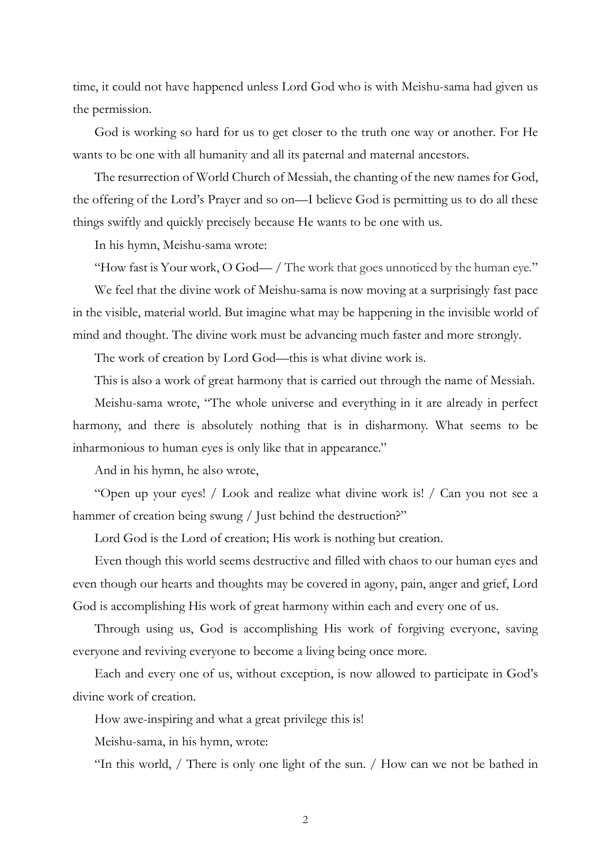time, it could not have happened unless Lord God who is with Meishu-sama had given us the permission.

God is working so hard for us to get closer to the truth one way or another. For He wants to be one with all humanity and all its paternal and maternal ancestors.

The resurrection of World Church of Messiah, the chanting of the new names for God, the offering of the Lord's Prayer and so on—I believe God is permitting us to do all these things swiftly and quickly precisely because He wants to be one with us.

In his hymn, Meishu-sama wrote:

"How fast is Your work, O God— / The work that goes unnoticed by the human eye."

We feel that the divine work of Meishu-sama is now moving at a surprisingly fast pace in the visible, material world. But imagine what may be happening in the invisible world of mind and thought. The divine work must be advancing much faster and more strongly.

The work of creation by Lord God—this is what divine work is.

This is also a work of great harmony that is carried out through the name of Messiah.

Meishu-sama wrote, "The whole universe and everything in it are already in perfect harmony, and there is absolutely nothing that is in disharmony. What seems to be inharmonious to human eyes is only like that in appearance."

And in his hymn, he also wrote,

"Open up your eyes! / Look and realize what divine work is! / Can you not see a hammer of creation being swung / Just behind the destruction?"

Lord God is the Lord of creation; His work is nothing but creation.

Even though this world seems destructive and filled with chaos to our human eyes and even though our hearts and thoughts may be covered in agony, pain, anger and grief, Lord God is accomplishing His work of great harmony within each and every one of us.

Through using us, God is accomplishing His work of forgiving everyone, saving everyone and reviving everyone to become a living being once more.

Each and every one of us, without exception, is now allowed to participate in God's divine work of creation.

How awe-inspiring and what a great privilege this is!

Meishu-sama, in his hymn, wrote:

"In this world, / There is only one light of the sun. / How can we not be bathed in